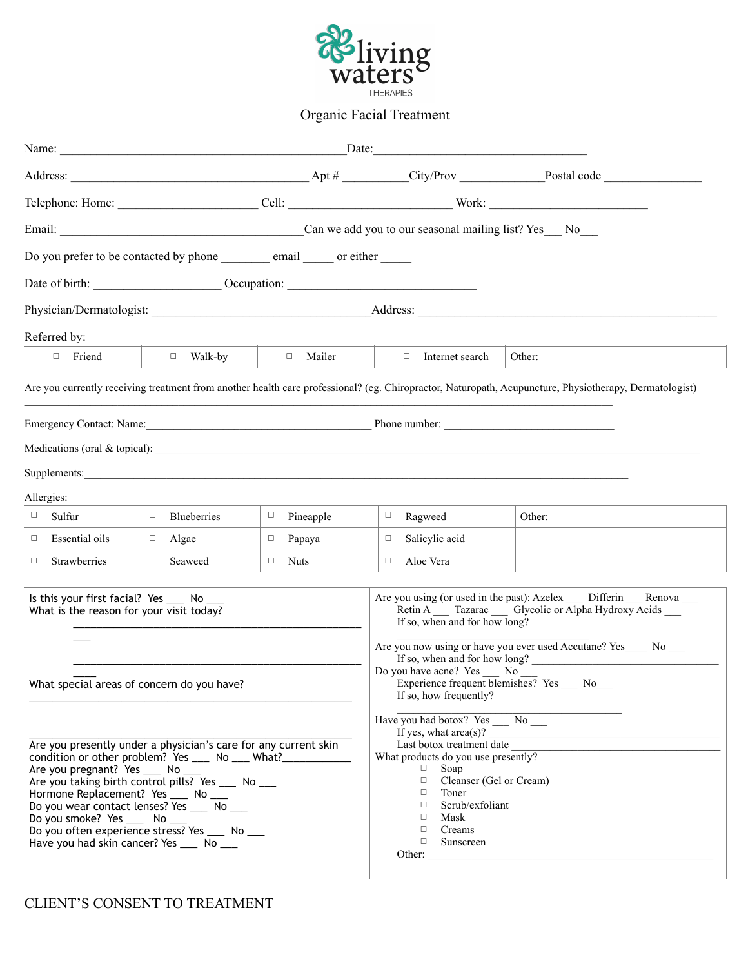

## Organic Facial Treatment

|                                                                                                                                                                                                                                                                                                                                                                                                                                                                                                                                                                           |                                                                             | Date:            |                                                                                                                                                                                                                                                                                                                                                                                                                                                                                                                                                                                                                                                            |                                                                                                                                                        |  |
|---------------------------------------------------------------------------------------------------------------------------------------------------------------------------------------------------------------------------------------------------------------------------------------------------------------------------------------------------------------------------------------------------------------------------------------------------------------------------------------------------------------------------------------------------------------------------|-----------------------------------------------------------------------------|------------------|------------------------------------------------------------------------------------------------------------------------------------------------------------------------------------------------------------------------------------------------------------------------------------------------------------------------------------------------------------------------------------------------------------------------------------------------------------------------------------------------------------------------------------------------------------------------------------------------------------------------------------------------------------|--------------------------------------------------------------------------------------------------------------------------------------------------------|--|
|                                                                                                                                                                                                                                                                                                                                                                                                                                                                                                                                                                           |                                                                             |                  |                                                                                                                                                                                                                                                                                                                                                                                                                                                                                                                                                                                                                                                            |                                                                                                                                                        |  |
|                                                                                                                                                                                                                                                                                                                                                                                                                                                                                                                                                                           |                                                                             |                  |                                                                                                                                                                                                                                                                                                                                                                                                                                                                                                                                                                                                                                                            |                                                                                                                                                        |  |
|                                                                                                                                                                                                                                                                                                                                                                                                                                                                                                                                                                           |                                                                             |                  |                                                                                                                                                                                                                                                                                                                                                                                                                                                                                                                                                                                                                                                            |                                                                                                                                                        |  |
|                                                                                                                                                                                                                                                                                                                                                                                                                                                                                                                                                                           | Do you prefer to be contacted by phone ________ email _____ or either _____ |                  |                                                                                                                                                                                                                                                                                                                                                                                                                                                                                                                                                                                                                                                            |                                                                                                                                                        |  |
|                                                                                                                                                                                                                                                                                                                                                                                                                                                                                                                                                                           | Date of birth: <u>Cocupation:</u> Cocupation:                               |                  |                                                                                                                                                                                                                                                                                                                                                                                                                                                                                                                                                                                                                                                            |                                                                                                                                                        |  |
|                                                                                                                                                                                                                                                                                                                                                                                                                                                                                                                                                                           |                                                                             |                  |                                                                                                                                                                                                                                                                                                                                                                                                                                                                                                                                                                                                                                                            |                                                                                                                                                        |  |
| Referred by:                                                                                                                                                                                                                                                                                                                                                                                                                                                                                                                                                              |                                                                             |                  |                                                                                                                                                                                                                                                                                                                                                                                                                                                                                                                                                                                                                                                            |                                                                                                                                                        |  |
| $\Box$ Friend                                                                                                                                                                                                                                                                                                                                                                                                                                                                                                                                                             | $\Box$ Walk-by                                                              | $\Box$ Mailer    | $\Box$ Internet search                                                                                                                                                                                                                                                                                                                                                                                                                                                                                                                                                                                                                                     | Other:                                                                                                                                                 |  |
|                                                                                                                                                                                                                                                                                                                                                                                                                                                                                                                                                                           |                                                                             |                  |                                                                                                                                                                                                                                                                                                                                                                                                                                                                                                                                                                                                                                                            | Are you currently receiving treatment from another health care professional? (eg. Chiropractor, Naturopath, Acupuncture, Physiotherapy, Dermatologist) |  |
|                                                                                                                                                                                                                                                                                                                                                                                                                                                                                                                                                                           |                                                                             |                  |                                                                                                                                                                                                                                                                                                                                                                                                                                                                                                                                                                                                                                                            |                                                                                                                                                        |  |
|                                                                                                                                                                                                                                                                                                                                                                                                                                                                                                                                                                           |                                                                             |                  |                                                                                                                                                                                                                                                                                                                                                                                                                                                                                                                                                                                                                                                            |                                                                                                                                                        |  |
|                                                                                                                                                                                                                                                                                                                                                                                                                                                                                                                                                                           |                                                                             |                  | Supplements: and the contract of the contract of the contract of the contract of the contract of the contract of the contract of the contract of the contract of the contract of the contract of the contract of the contract                                                                                                                                                                                                                                                                                                                                                                                                                              |                                                                                                                                                        |  |
| Allergies:                                                                                                                                                                                                                                                                                                                                                                                                                                                                                                                                                                |                                                                             |                  |                                                                                                                                                                                                                                                                                                                                                                                                                                                                                                                                                                                                                                                            |                                                                                                                                                        |  |
| $\Box$<br>Sulfur                                                                                                                                                                                                                                                                                                                                                                                                                                                                                                                                                          | Blueberries<br>$\Box$                                                       | $\Box$ Pineapple | $\Box$<br>Ragweed                                                                                                                                                                                                                                                                                                                                                                                                                                                                                                                                                                                                                                          | Other:                                                                                                                                                 |  |
| Essential oils<br>$\Box$                                                                                                                                                                                                                                                                                                                                                                                                                                                                                                                                                  | $\Box$ Algae                                                                | Papaya<br>$\Box$ | Salicylic acid<br>$\Box$                                                                                                                                                                                                                                                                                                                                                                                                                                                                                                                                                                                                                                   |                                                                                                                                                        |  |
| Strawberries<br>$\Box$                                                                                                                                                                                                                                                                                                                                                                                                                                                                                                                                                    | Seaweed<br>$\Box$                                                           | $\Box$ Nuts      | Aloe Vera<br>$\Box$                                                                                                                                                                                                                                                                                                                                                                                                                                                                                                                                                                                                                                        |                                                                                                                                                        |  |
| Is this your first facial? Yes ____ No _<br>What is the reason for your visit today?<br>What special areas of concern do you have?<br>Are you presently under a physician's care for any current skin<br>condition or other problem? Yes ____ No ___ What?_<br>Are you pregnant? Yes ____ No ___<br>Are you taking birth control pills? Yes __ No __<br>Hormone Replacement? Yes ___ No ___<br>Do you wear contact lenses? Yes ____ No ___<br>Do you smoke? Yes ___ No ___<br>Do you often experience stress? Yes ___ No ___<br>Have you had skin cancer? Yes ____ No ___ |                                                                             |                  | Are you using (or used in the past): Azelex Differin Renova<br>Retin A Tazarac Glycolic or Alpha Hydroxy Acids<br>If so, when and for how long?<br>Are you now using or have you ever used Accutane? Yes ______ No _____<br>If so, when and for how long?<br>Do you have acne? Yes _____ No<br>Experience frequent blemishes? Yes No<br>If so, how frequently?<br>Have you had botox? Yes No<br>If yes, what $area(s)$ ?<br>Last botox treatment date<br>What products do you use presently?<br>$\Box$ Soap<br>Cleanser (Gel or Cream)<br>$\Box$<br>Toner<br>$\Box$<br>Scrub/exfoliant<br>$\Box$<br>Mask<br>$\Box$<br>$\Box$ Creams<br>$\Box$<br>Sunscreen |                                                                                                                                                        |  |